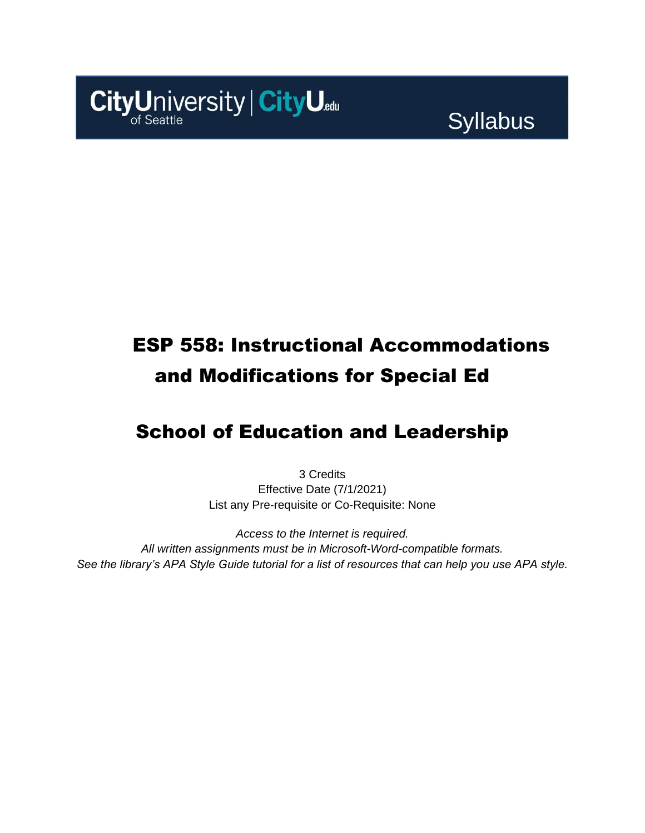

# Syllabus

# ESP 558: Instructional Accommodations and Modifications for Special Ed

## School of Education and Leadership

3 Credits Effective Date (7/1/2021) List any Pre-requisite or Co-Requisite: None

*Access to the Internet is required. All written assignments must be in Microsoft-Word-compatible formats. See the library's APA Style Guide tutorial for a list of resources that can help you use APA style.*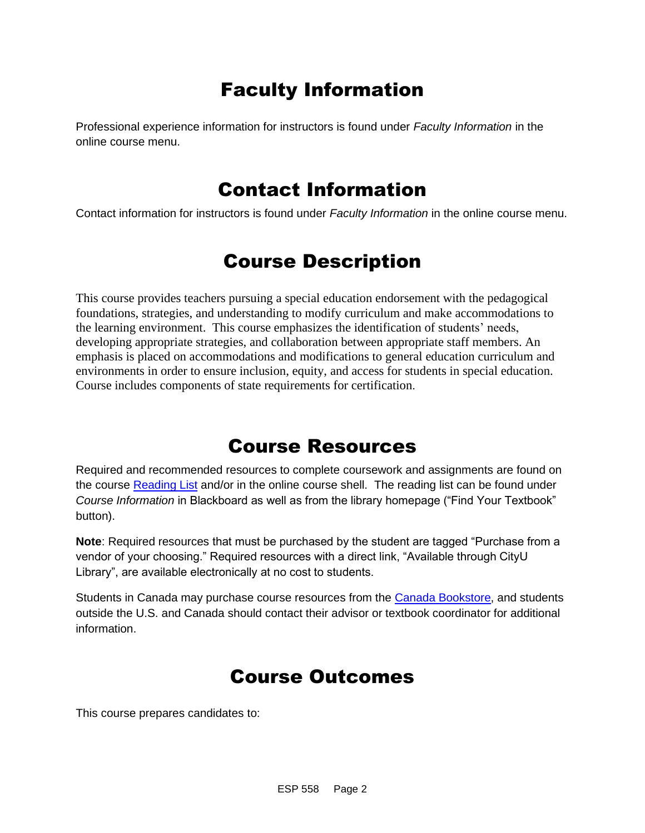## Faculty Information

Professional experience information for instructors is found under *Faculty Information* in the online course menu.

### Contact Information

Contact information for instructors is found under *Faculty Information* in the online course menu.

### Course Description

This course provides teachers pursuing a special education endorsement with the pedagogical foundations, strategies, and understanding to modify curriculum and make accommodations to the learning environment. This course emphasizes the identification of students' needs, developing appropriate strategies, and collaboration between appropriate staff members. An emphasis is placed on accommodations and modifications to general education curriculum and environments in order to ensure inclusion, equity, and access for students in special education. Course includes components of state requirements for certification.

### Course Resources

Required and recommended resources to complete coursework and assignments are found on the course [Reading List](https://cityu.alma.exlibrisgroup.com/leganto/login?auth=SAML) and/or in the online course shell. The reading list can be found under *Course Information* in Blackboard as well as from the library homepage ("Find Your Textbook" button).

**Note**: Required resources that must be purchased by the student are tagged "Purchase from a vendor of your choosing." Required resources with a direct link, "Available through CityU Library", are available electronically at no cost to students.

Students in Canada may purchase course resources from the [Canada Bookstore,](https://www.cityubookstore.ca/index.asp) and students outside the U.S. and Canada should contact their advisor or textbook coordinator for additional information.

### Course Outcomes

This course prepares candidates to: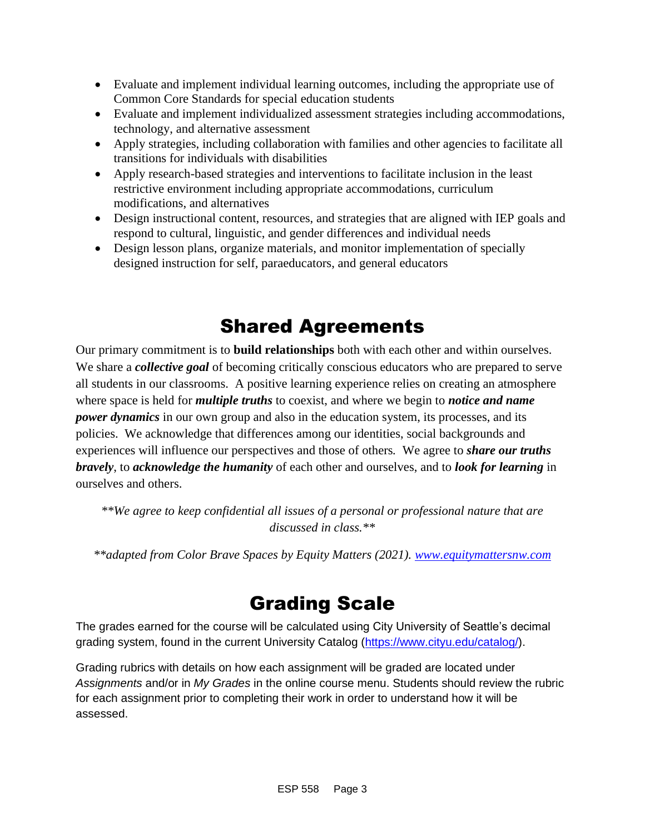- Evaluate and implement individual learning outcomes, including the appropriate use of Common Core Standards for special education students
- Evaluate and implement individualized assessment strategies including accommodations, technology, and alternative assessment
- Apply strategies, including collaboration with families and other agencies to facilitate all transitions for individuals with disabilities
- Apply research-based strategies and interventions to facilitate inclusion in the least restrictive environment including appropriate accommodations, curriculum modifications, and alternatives
- Design instructional content, resources, and strategies that are aligned with IEP goals and respond to cultural, linguistic, and gender differences and individual needs
- Design lesson plans, organize materials, and monitor implementation of specially designed instruction for self, paraeducators, and general educators

## Shared Agreements

Our primary commitment is to **build relationships** both with each other and within ourselves. We share a *collective goal* of becoming critically conscious educators who are prepared to serve all students in our classrooms. A positive learning experience relies on creating an atmosphere where space is held for *multiple truths* to coexist, and where we begin to *notice and name power dynamics* in our own group and also in the education system, its processes, and its policies. We acknowledge that differences among our identities, social backgrounds and experiences will influence our perspectives and those of others*.* We agree to *share our truths bravely*, to *acknowledge the humanity* of each other and ourselves, and to *look for learning* in ourselves and others.

*\*\*We agree to keep confidential all issues of a personal or professional nature that are discussed in class.\*\**

*\*\*adapted from Color Brave Spaces by Equity Matters (2021). [www.equitymattersnw.com](http://www.equitymattersnw.com/)*

## Grading Scale

The grades earned for the course will be calculated using City University of Seattle's decimal grading system, found in the current University Catalog [\(https://www.cityu.edu/catalog/\)](https://www.cityu.edu/catalog/).

Grading rubrics with details on how each assignment will be graded are located under *Assignments* and/or in *My Grades* in the online course menu. Students should review the rubric for each assignment prior to completing their work in order to understand how it will be assessed.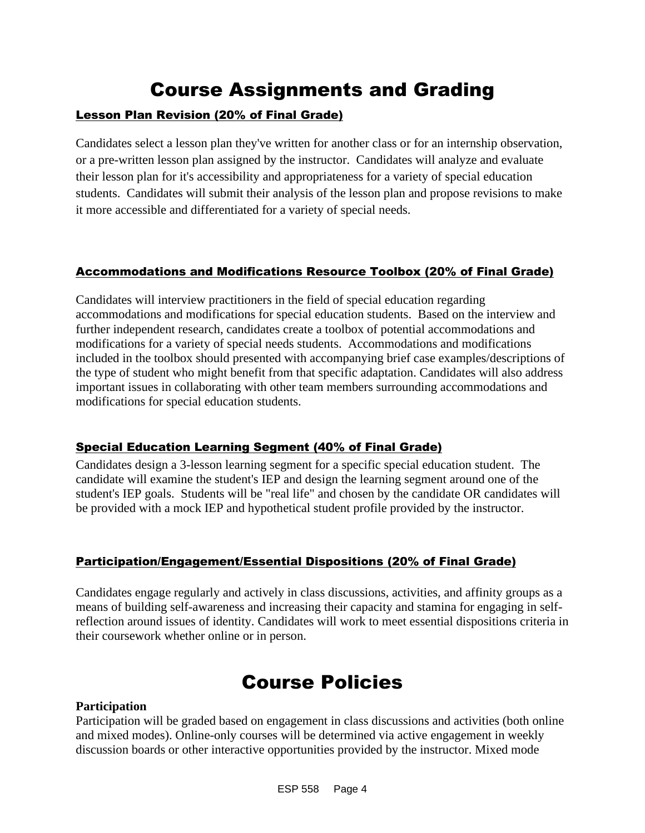## Course Assignments and Grading

#### Lesson Plan Revision (20% of Final Grade)

Candidates select a lesson plan they've written for another class or for an internship observation, or a pre-written lesson plan assigned by the instructor. Candidates will analyze and evaluate their lesson plan for it's accessibility and appropriateness for a variety of special education students. Candidates will submit their analysis of the lesson plan and propose revisions to make it more accessible and differentiated for a variety of special needs.

#### Accommodations and Modifications Resource Toolbox (20% of Final Grade)

Candidates will interview practitioners in the field of special education regarding accommodations and modifications for special education students. Based on the interview and further independent research, candidates create a toolbox of potential accommodations and modifications for a variety of special needs students. Accommodations and modifications included in the toolbox should presented with accompanying brief case examples/descriptions of the type of student who might benefit from that specific adaptation. Candidates will also address important issues in collaborating with other team members surrounding accommodations and modifications for special education students.

#### Special Education Learning Segment (40% of Final Grade)

Candidates design a 3-lesson learning segment for a specific special education student. The candidate will examine the student's IEP and design the learning segment around one of the student's IEP goals. Students will be "real life" and chosen by the candidate OR candidates will be provided with a mock IEP and hypothetical student profile provided by the instructor.

#### Participation/Engagement/Essential Dispositions (20% of Final Grade)

Candidates engage regularly and actively in class discussions, activities, and affinity groups as a means of building self-awareness and increasing their capacity and stamina for engaging in selfreflection around issues of identity. Candidates will work to meet essential dispositions criteria in their coursework whether online or in person.

### Course Policies

#### **Participation**

Participation will be graded based on engagement in class discussions and activities (both online and mixed modes). Online-only courses will be determined via active engagement in weekly discussion boards or other interactive opportunities provided by the instructor. Mixed mode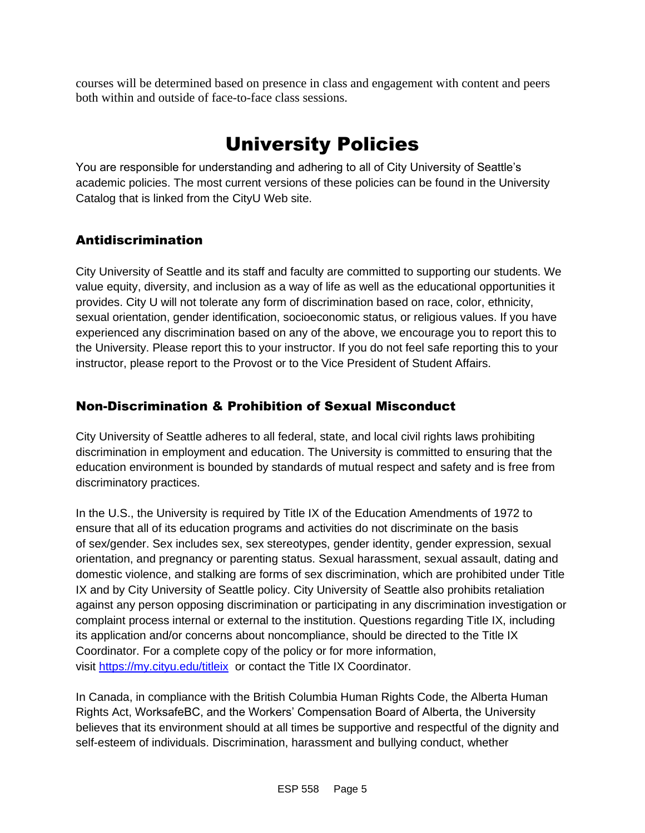courses will be determined based on presence in class and engagement with content and peers both within and outside of face-to-face class sessions.

## University Policies

You are responsible for understanding and adhering to all of City University of Seattle's academic policies. The most current versions of these policies can be found in the University Catalog that is linked from the CityU Web site.

### Antidiscrimination

City University of Seattle and its staff and faculty are committed to supporting our students. We value equity, diversity, and inclusion as a way of life as well as the educational opportunities it provides. City U will not tolerate any form of discrimination based on race, color, ethnicity, sexual orientation, gender identification, socioeconomic status, or religious values. If you have experienced any discrimination based on any of the above, we encourage you to report this to the University. Please report this to your instructor. If you do not feel safe reporting this to your instructor, please report to the Provost or to the Vice President of Student Affairs.

### Non-Discrimination & Prohibition of Sexual Misconduct

City University of Seattle adheres to all federal, state, and local civil rights laws prohibiting discrimination in employment and education. The University is committed to ensuring that the education environment is bounded by standards of mutual respect and safety and is free from discriminatory practices.

In the U.S., the University is required by Title IX of the Education Amendments of 1972 to ensure that all of its education programs and activities do not discriminate on the basis of sex/gender. Sex includes sex, sex stereotypes, gender identity, gender expression, sexual orientation, and pregnancy or parenting status. Sexual harassment, sexual assault, dating and domestic violence, and stalking are forms of sex discrimination, which are prohibited under Title IX and by City University of Seattle policy. City University of Seattle also prohibits retaliation against any person opposing discrimination or participating in any discrimination investigation or complaint process internal or external to the institution. Questions regarding Title IX, including its application and/or concerns about noncompliance, should be directed to the Title IX Coordinator. For a complete copy of the policy or for more information, visit [https://my.cityu.edu/titleix](https://nam11.safelinks.protection.outlook.com/?url=https%3A%2F%2Fmy.cityu.edu%2Ftitleix&data=04%7C01%7Claker%40cityu.edu%7Cbc558c70c10340dbaa2408d9172365a0%7Cb3fa96d9f5154662add763d854e39e63%7C1%7C0%7C637566263054321964%7CUnknown%7CTWFpbGZsb3d8eyJWIjoiMC4wLjAwMDAiLCJQIjoiV2luMzIiLCJBTiI6Ik1haWwiLCJXVCI6Mn0%3D%7C1000&sdata=GX0hgfxN2OMKFTKjD04gqvwwyU44mfnCmEdCtsEzab0%3D&reserved=0) or contact the Title IX Coordinator.

In Canada, in compliance with the British Columbia Human Rights Code, the Alberta Human Rights Act, WorksafeBC, and the Workers' Compensation Board of Alberta, the University believes that its environment should at all times be supportive and respectful of the dignity and self-esteem of individuals. Discrimination, harassment and bullying conduct, whether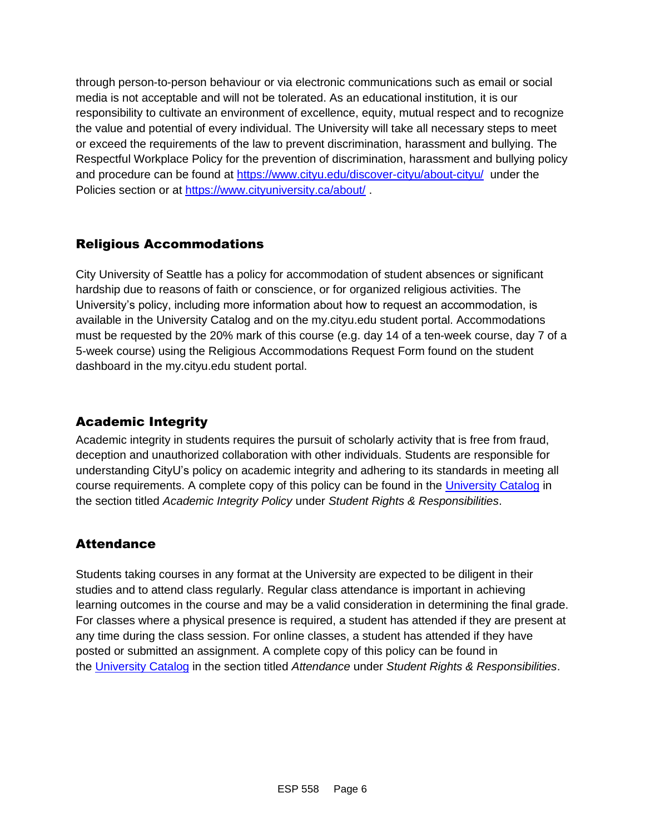through person-to-person behaviour or via electronic communications such as email or social media is not acceptable and will not be tolerated. As an educational institution, it is our responsibility to cultivate an environment of excellence, equity, mutual respect and to recognize the value and potential of every individual. The University will take all necessary steps to meet or exceed the requirements of the law to prevent discrimination, harassment and bullying. The Respectful Workplace Policy for the prevention of discrimination, harassment and bullying policy and procedure can be found at [https://www.cityu.edu/discover-cityu/about-cityu/](https://nam11.safelinks.protection.outlook.com/?url=https%3A%2F%2Fwww.cityu.edu%2Fdiscover-cityu%2Fabout-cityu%2F&data=04%7C01%7Claker%40cityu.edu%7Cbc558c70c10340dbaa2408d9172365a0%7Cb3fa96d9f5154662add763d854e39e63%7C1%7C0%7C637566263054331957%7CUnknown%7CTWFpbGZsb3d8eyJWIjoiMC4wLjAwMDAiLCJQIjoiV2luMzIiLCJBTiI6Ik1haWwiLCJXVCI6Mn0%3D%7C1000&sdata=7Q6QoqwuNLfeOJPewViWSeIwRIBy%2BoqDOiP8xSHYm78%3D&reserved=0) under the Policies section or at [https://www.cityuniversity.ca/about/](https://nam11.safelinks.protection.outlook.com/?url=https%3A%2F%2Fwww.cityuniversity.ca%2Fabout%2F&data=04%7C01%7Claker%40cityu.edu%7Cbc558c70c10340dbaa2408d9172365a0%7Cb3fa96d9f5154662add763d854e39e63%7C1%7C0%7C637566263054331957%7CUnknown%7CTWFpbGZsb3d8eyJWIjoiMC4wLjAwMDAiLCJQIjoiV2luMzIiLCJBTiI6Ik1haWwiLCJXVCI6Mn0%3D%7C1000&sdata=TX6bXEiU0CC6hC1mrTnKpuJywbR06qAj7RMu8QC4RUA%3D&reserved=0)

### Religious Accommodations

City University of Seattle has a policy for accommodation of student absences or significant hardship due to reasons of faith or conscience, or for organized religious activities. The University's policy, including more information about how to request an accommodation, is available in the University Catalog and on the my.cityu.edu student portal. Accommodations must be requested by the 20% mark of this course (e.g. day 14 of a ten-week course, day 7 of a 5-week course) using the Religious Accommodations Request Form found on the student dashboard in the my.cityu.edu student portal.

### Academic Integrity

Academic integrity in students requires the pursuit of scholarly activity that is free from fraud, deception and unauthorized collaboration with other individuals. Students are responsible for understanding CityU's policy on academic integrity and adhering to its standards in meeting all course requirements. A complete copy of this policy can be found in the [University Catalog](https://nam11.safelinks.protection.outlook.com/?url=http%3A%2F%2Fwww.cityu.edu%2Fcatalog%2F&data=04%7C01%7Claker%40cityu.edu%7Cbc558c70c10340dbaa2408d9172365a0%7Cb3fa96d9f5154662add763d854e39e63%7C1%7C0%7C637566263054341952%7CUnknown%7CTWFpbGZsb3d8eyJWIjoiMC4wLjAwMDAiLCJQIjoiV2luMzIiLCJBTiI6Ik1haWwiLCJXVCI6Mn0%3D%7C1000&sdata=aL6fsSyLtVzJgdrlE9PtZXb%2F3H6wCdrvPcw4zOoEYTI%3D&reserved=0) in the section titled *Academic Integrity Policy* under *Student Rights & Responsibilities*.

### **Attendance**

Students taking courses in any format at the University are expected to be diligent in their studies and to attend class regularly. Regular class attendance is important in achieving learning outcomes in the course and may be a valid consideration in determining the final grade. For classes where a physical presence is required, a student has attended if they are present at any time during the class session. For online classes, a student has attended if they have posted or submitted an assignment. A complete copy of this policy can be found in the [University Catalog](https://nam11.safelinks.protection.outlook.com/?url=http%3A%2F%2Fwww.cityu.edu%2Fcatalog%2F&data=04%7C01%7Claker%40cityu.edu%7Cbc558c70c10340dbaa2408d9172365a0%7Cb3fa96d9f5154662add763d854e39e63%7C1%7C0%7C637566263054341952%7CUnknown%7CTWFpbGZsb3d8eyJWIjoiMC4wLjAwMDAiLCJQIjoiV2luMzIiLCJBTiI6Ik1haWwiLCJXVCI6Mn0%3D%7C1000&sdata=aL6fsSyLtVzJgdrlE9PtZXb%2F3H6wCdrvPcw4zOoEYTI%3D&reserved=0) in the section titled *Attendance* under *Student Rights & Responsibilities*.